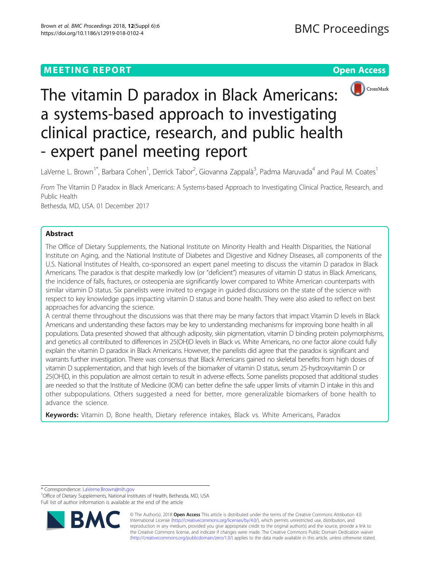# **MEETING REPORT CONTROL** CONTROL CONTROL CONTROL CONTROL CONTROL CONTROL CONTROL CONTROL CONTROL CONTROL CONTROL CONTROL CONTROL CONTROL CONTROL CONTROL CONTROL CONTROL CONTROL CONTROL CONTROL CONTROL CONTROL CONTROL CONTR



# The vitamin D paradox in Black Americans: a systems-based approach to investigating clinical practice, research, and public health - expert panel meeting report

LaVerne L. Brown<sup>1\*</sup>, Barbara Cohen<sup>1</sup>, Derrick Tabor<sup>2</sup>, Giovanna Zappalà<sup>3</sup>, Padma Maruvada<sup>4</sup> and Paul M. Coates<sup>1</sup>

From The Vitamin D Paradox in Black Americans: A Systems-based Approach to Investigating Clinical Practice, Research, and Public Health

Bethesda, MD, USA. 01 December 2017

# Abstract

The Office of Dietary Supplements, the National Institute on Minority Health and Health Disparities, the National Institute on Aging, and the National Institute of Diabetes and Digestive and Kidney Diseases, all components of the U.S. National Institutes of Health, co-sponsored an expert panel meeting to discuss the vitamin D paradox in Black Americans. The paradox is that despite markedly low (or "deficient") measures of vitamin D status in Black Americans, the incidence of falls, fractures, or osteopenia are significantly lower compared to White American counterparts with similar vitamin D status. Six panelists were invited to engage in guided discussions on the state of the science with respect to key knowledge gaps impacting vitamin D status and bone health. They were also asked to reflect on best approaches for advancing the science.

A central theme throughout the discussions was that there may be many factors that impact Vitamin D levels in Black Americans and understanding these factors may be key to understanding mechanisms for improving bone health in all populations. Data presented showed that although adiposity, skin pigmentation, vitamin D binding protein polymorphisms, and genetics all contributed to differences in 25(OH)D levels in Black vs. White Americans, no one factor alone could fully explain the vitamin D paradox in Black Americans. However, the panelists did agree that the paradox is significant and warrants further investigation. There was consensus that Black Americans gained no skeletal benefits from high doses of vitamin D supplementation, and that high levels of the biomarker of vitamin D status, serum 25-hydroxyvitamin D or 25(OH)D, in this population are almost certain to result in adverse effects. Some panelists proposed that additional studies are needed so that the Institute of Medicine (IOM) can better define the safe upper limits of vitamin D intake in this and other subpopulations. Others suggested a need for better, more generalizable biomarkers of bone health to advance the science.

Keywords: Vitamin D, Bone health, Dietary reference intakes, Black vs. White Americans, Paradox

\* Correspondence: [LaVerne.Brown@nih.gov](mailto:LaVerne.Brown@nih.gov) <sup>1</sup>

<sup>1</sup> Office of Dietary Supplements, National Institutes of Health, Bethesda, MD, USA Full list of author information is available at the end of the article



© The Author(s). 2018 Open Access This article is distributed under the terms of the Creative Commons Attribution 4.0 International License [\(http://creativecommons.org/licenses/by/4.0/](http://creativecommons.org/licenses/by/4.0/)), which permits unrestricted use, distribution, and reproduction in any medium, provided you give appropriate credit to the original author(s) and the source, provide a link to the Creative Commons license, and indicate if changes were made. The Creative Commons Public Domain Dedication waiver [\(http://creativecommons.org/publicdomain/zero/1.0/](http://creativecommons.org/publicdomain/zero/1.0/)) applies to the data made available in this article, unless otherwise stated.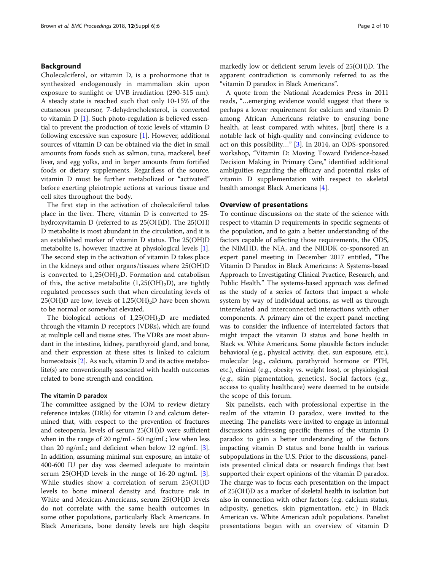## Background

Cholecalciferol, or vitamin D, is a prohormone that is synthesized endogenously in mammalian skin upon exposure to sunlight or UVB irradiation (290-315 nm). A steady state is reached such that only 10-15% of the cutaneous precursor, 7-dehydrocholesterol, is converted to vitamin D [\[1](#page-9-0)]. Such photo-regulation is believed essential to prevent the production of toxic levels of vitamin D following excessive sun exposure [[1](#page-9-0)]. However, additional sources of vitamin D can be obtained via the diet in small amounts from foods such as salmon, tuna, mackerel, beef liver, and egg yolks, and in larger amounts from fortified foods or dietary supplements. Regardless of the source, vitamin D must be further metabolized or "activated" before exerting pleiotropic actions at various tissue and cell sites throughout the body.

The first step in the activation of cholecalciferol takes place in the liver. There, vitamin D is converted to 25 hydroxyvitamin D (referred to as 25(OH)D). The 25(OH) D metabolite is most abundant in the circulation, and it is an established marker of vitamin D status. The 25(OH)D metabolite is, however, inactive at physiological levels [[1](#page-9-0)]. The second step in the activation of vitamin D takes place in the kidneys and other organs/tissues where 25(OH)D is converted to  $1,25(OH)_2D$ . Formation and catabolism of this, the active metabolite  $(1,25(OH),D)$ , are tightly regulated processes such that when circulating levels of  $25(OH)D$  are low, levels of  $1,25(OH)2D$  have been shown to be normal or somewhat elevated.

The biological actions of  $1,25(OH)_{2}D$  are mediated through the vitamin D receptors (VDRs), which are found at multiple cell and tissue sites. The VDRs are most abundant in the intestine, kidney, parathyroid gland, and bone, and their expression at these sites is linked to calcium homeostasis [\[2\]](#page-9-0). As such, vitamin D and its active metabolite(s) are conventionally associated with health outcomes related to bone strength and condition.

#### The vitamin D paradox

The committee assigned by the IOM to review dietary reference intakes (DRIs) for vitamin D and calcium determined that, with respect to the prevention of fractures and osteopenia, levels of serum 25(OH)D were sufficient when in the range of 20 ng/mL- 50 ng/mL; low when less than 20 ng/mL; and deficient when below 12 ng/mL [[3](#page-9-0)]. In addition, assuming minimal sun exposure, an intake of 400-600 IU per day was deemed adequate to maintain serum 25(OH)D levels in the range of  $16-20$  ng/mL  $[3]$  $[3]$  $[3]$ . While studies show a correlation of serum 25(OH)D levels to bone mineral density and fracture risk in White and Mexican-Americans, serum 25(OH)D levels do not correlate with the same health outcomes in some other populations, particularly Black Americans. In Black Americans, bone density levels are high despite markedly low or deficient serum levels of 25(OH)D. The apparent contradiction is commonly referred to as the "vitamin D paradox in Black Americans".

A quote from the National Academies Press in 2011 reads, "…emerging evidence would suggest that there is perhaps a lower requirement for calcium and vitamin D among African Americans relative to ensuring bone health, at least compared with whites, [but] there is a notable lack of high-quality and convincing evidence to act on this possibility…" [\[3](#page-9-0)]. In 2014, an ODS-sponsored workshop, "Vitamin D: Moving Toward Evidence-based Decision Making in Primary Care," identified additional ambiguities regarding the efficacy and potential risks of vitamin D supplementation with respect to skeletal health amongst Black Americans [\[4](#page-9-0)].

## Overview of presentations

To continue discussions on the state of the science with respect to vitamin D requirements in specific segments of the population, and to gain a better understanding of the factors capable of affecting those requirements, the ODS, the NIMHD, the NIA, and the NIDDK co-sponsored an expert panel meeting in December 2017 entitled, "The Vitamin D Paradox in Black Americans: A Systems-based Approach to Investigating Clinical Practice, Research, and Public Health." The systems-based approach was defined as the study of a series of factors that impact a whole system by way of individual actions, as well as through interrelated and interconnected interactions with other components. A primary aim of the expert panel meeting was to consider the influence of interrelated factors that might impact the vitamin D status and bone health in Black vs. White Americans. Some plausible factors include: behavioral (e.g., physical activity, diet, sun exposure, etc.), molecular (e.g., calcium, parathyroid hormone or PTH, etc.), clinical (e.g., obesity vs. weight loss), or physiological (e.g., skin pigmentation, genetics). Social factors (e.g., access to quality healthcare) were deemed to be outside the scope of this forum.

Six panelists, each with professional expertise in the realm of the vitamin D paradox, were invited to the meeting. The panelists were invited to engage in informal discussions addressing specific themes of the vitamin D paradox to gain a better understanding of the factors impacting vitamin D status and bone health in various subpopulations in the U.S. Prior to the discussions, panelists presented clinical data or research findings that best supported their expert opinions of the vitamin D paradox. The charge was to focus each presentation on the impact of 25(OH)D as a marker of skeletal health in isolation but also in connection with other factors (e.g. calcium status, adiposity, genetics, skin pigmentation, etc.) in Black American vs. White American adult populations. Panelist presentations began with an overview of vitamin D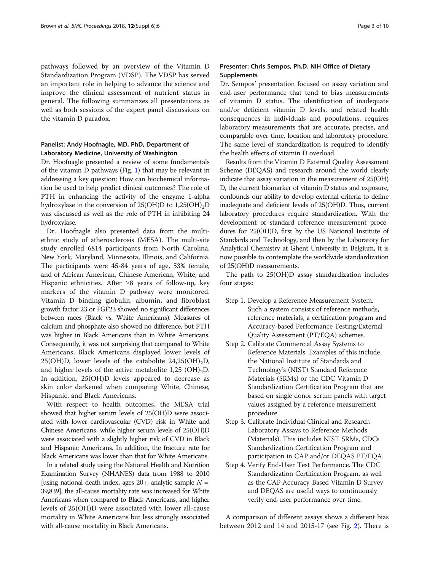pathways followed by an overview of the Vitamin D Standardization Program (VDSP). The VDSP has served an important role in helping to advance the science and improve the clinical assessment of nutrient status in general. The following summarizes all presentations as well as both sessions of the expert panel discussions on the vitamin D paradox.

## Panelist: Andy Hoofnagle, MD, PhD, Department of Laboratory Medicine, University of Washington

Dr. Hoofnagle presented a review of some fundamentals of the vitamin D pathways (Fig. [1](#page-3-0)) that may be relevant in addressing a key question: How can biochemical information be used to help predict clinical outcomes? The role of PTH in enhancing the activity of the enzyme 1-alpha hydroxylase in the conversion of  $25(OH)D$  to  $1,25(OH)<sub>2</sub>D$ was discussed as well as the role of PTH in inhibiting 24 hydroxylase.

Dr. Hoofnagle also presented data from the multiethnic study of atherosclerosis (MESA). The multi-site study enrolled 6814 participants from North Carolina, New York, Maryland, Minnesota, Illinois, and California. The participants were 45-84 years of age, 53% female, and of African American, Chinese American, White, and Hispanic ethnicities. After ≥8 years of follow-up, key markers of the vitamin D pathway were monitored. Vitamin D binding globulin, albumin, and fibroblast growth factor 23 or FGF23 showed no significant differences between races (Black vs. White Americans). Measures of calcium and phosphate also showed no difference, but PTH was higher in Black Americans than in White Americans. Consequently, it was not surprising that compared to White Americans, Black Americans displayed lower levels of 25(OH)D, lower levels of the catabolite  $24,25(OH)_{2}D$ , and higher levels of the active metabolite  $1,25$  (OH)<sub>2</sub>D. In addition, 25(OH)D levels appeared to decrease as skin color darkened when comparing White, Chinese, Hispanic, and Black Americans.

With respect to health outcomes, the MESA trial showed that higher serum levels of 25(OH)D were associated with lower cardiovascular (CVD) risk in White and Chinese Americans, while higher serum levels of 25(OH)D were associated with a slightly higher risk of CVD in Black and Hispanic Americans. In addition, the fracture rate for Black Americans was lower than that for White Americans.

In a related study using the National Health and Nutrition Examination Survey (NHANES) data from 1988 to 2010 [using national death index, ages  $20+$ , analytic sample  $N =$ 39,839], the all-cause mortality rate was increased for White Americans when compared to Black Americans, and higher levels of 25(OH)D were associated with lower all-cause mortality in White Americans but less strongly associated with all-cause mortality in Black Americans.

## Presenter: Chris Sempos, Ph.D. NIH Office of Dietary Supplements

Dr. Sempos' presentation focused on assay variation and end-user performance that tend to bias measurements of vitamin D status. The identification of inadequate and/or deficient vitamin D levels, and related health consequences in individuals and populations, requires laboratory measurements that are accurate, precise, and comparable over time, location and laboratory procedure. The same level of standardization is required to identify the health effects of vitamin D overload.

Results from the Vitamin D External Quality Assessment Scheme (DEQAS) and research around the world clearly indicate that assay variation in the measurement of 25(OH) D, the current biomarker of vitamin D status and exposure, confounds our ability to develop external criteria to define inadequate and deficient levels of 25(OH)D. Thus, current laboratory procedures require standardization. With the development of standard reference measurement procedures for 25(OH)D, first by the US National Institute of Standards and Technology, and then by the Laboratory for Analytical Chemistry at Ghent University in Belgium, it is now possible to contemplate the worldwide standardization of 25(OH)D measurements.

The path to 25(OH)D assay standardization includes four stages:

- Step 1. Develop a Reference Measurement System. Such a system consists of reference methods, reference materials, a certification program and Accuracy-based Performance Testing/External Quality Assessment (PT/EQA) schemes.
- Step 2. Calibrate Commercial Assay Systems to Reference Materials. Examples of this include the National Institute of Standards and Technology's (NIST) Standard Reference Materials (SRMs) or the CDC Vitamin D Standardization Certification Program that are based on single donor serum panels with target values assigned by a reference measurement procedure.
- Step 3. Calibrate Individual Clinical and Research Laboratory Assays to Reference Methods (Materials). This includes NIST SRMs, CDCs Standardization Certification Program and participation in CAP and/or DEQAS PT/EQA.
- Step 4. Verify End-User Test Performance. The CDC Standardization Certification Program, as well as the CAP Accuracy-Based Vitamin D Survey and DEQAS are useful ways to continuously verify end-user performance over time.

A comparison of different assays shows a different bias between 2012 and 14 and 2015-17 (see Fig. [2](#page-4-0)). There is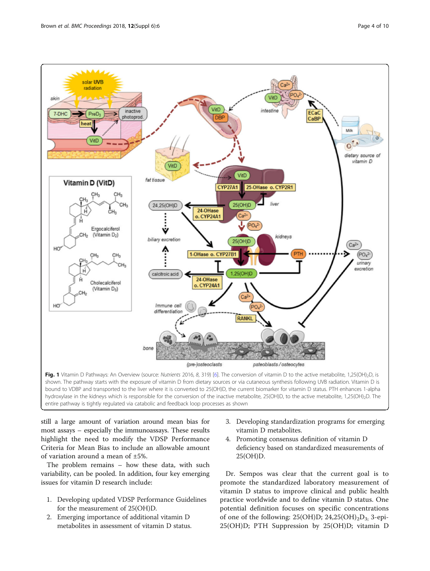<span id="page-3-0"></span>

bound to VDBP and transported to the liver where it is converted to 25(OH)D, the current biomarker for vitamin D status. PTH enhances 1-alpha hydroxylase in the kidneys which is responsible for the conversion of the inactive metabolite, 25(OH)D, to the active metabolite, 1,25(OH)<sub>2</sub>D. The entire pathway is tightly regulated via catabolic and feedback loop processes as shown

still a large amount of variation around mean bias for most assays – especially the immunoassays. These results highlight the need to modify the VDSP Performance Criteria for Mean Bias to include an allowable amount of variation around a mean of ±5%.

The problem remains – how these data, with such variability, can be pooled. In addition, four key emerging issues for vitamin D research include:

- 1. Developing updated VDSP Performance Guidelines for the measurement of 25(OH)D.
- 2. Emerging importance of additional vitamin D metabolites in assessment of vitamin D status.
- 3. Developing standardization programs for emerging vitamin D metabolites.
- 4. Promoting consensus definition of vitamin D deficiency based on standardized measurements of 25(OH)D.

Dr. Sempos was clear that the current goal is to promote the standardized laboratory measurement of vitamin D status to improve clinical and public health practice worldwide and to define vitamin D status. One potential definition focuses on specific concentrations of one of the following:  $25(OH)D$ ;  $24,25(OH)_{2}D_{3}$ ; 3-epi-25(OH)D; PTH Suppression by 25(OH)D; vitamin D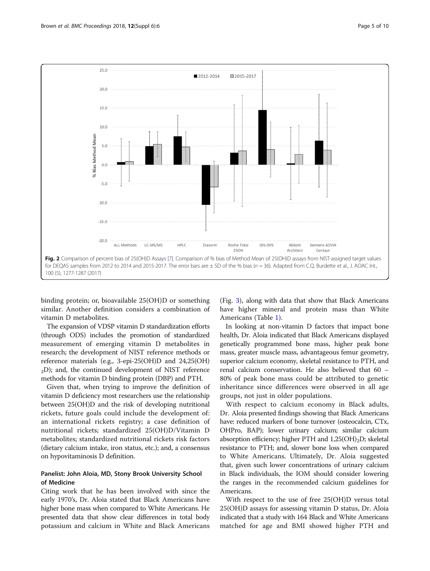<span id="page-4-0"></span>

binding protein; or, bioavailable 25(OH)D or something similar. Another definition considers a combination of vitamin D metabolites.

The expansion of VDSP vitamin D standardization efforts (through ODS) includes the promotion of standardized measurement of emerging vitamin D metabolites in research; the development of NIST reference methods or reference materials (e.g., 3-epi-25(OH)D and 24,25(OH) 2D); and, the continued development of NIST reference methods for vitamin D binding protein (DBP) and PTH.

Given that, when trying to improve the definition of vitamin D deficiency most researchers use the relationship between 25(OH)D and the risk of developing nutritional rickets, future goals could include the development of: an international rickets registry; a case definition of nutritional rickets; standardized 25(OH)D/Vitamin D metabolites; standardized nutritional rickets risk factors (dietary calcium intake, iron status, etc.); and, a consensus on hypovitaminosis D definition.

## Panelist: John Aloia, MD, Stony Brook University School of Medicine

Citing work that he has been involved with since the early 1970's, Dr. Aloia stated that Black Americans have higher bone mass when compared to White Americans. He presented data that show clear differences in total body potassium and calcium in White and Black Americans

(Fig. [3\)](#page-5-0), along with data that show that Black Americans have higher mineral and protein mass than White Americans (Table [1](#page-5-0)).

In looking at non-vitamin D factors that impact bone health, Dr. Aloia indicated that Black Americans displayed genetically programmed bone mass, higher peak bone mass, greater muscle mass, advantageous femur geometry, superior calcium economy, skeletal resistance to PTH, and renal calcium conservation. He also believed that 60 – 80% of peak bone mass could be attributed to genetic inheritance since differences were observed in all age groups, not just in older populations.

With respect to calcium economy in Black adults, Dr. Aloia presented findings showing that Black Americans have: reduced markers of bone turnover (osteocalcin, CTx, OHPro, BAP); lower urinary calcium; similar calcium absorption efficiency; higher PTH and  $1,25(OH)_2D$ ; skeletal resistance to PTH; and, slower bone loss when compared to White Americans. Ultimately, Dr. Aloia suggested that, given such lower concentrations of urinary calcium in Black individuals, the IOM should consider lowering the ranges in the recommended calcium guidelines for Americans.

With respect to the use of free 25(OH)D versus total 25(OH)D assays for assessing vitamin D status, Dr. Aloia indicated that a study with 164 Black and White Americans matched for age and BMI showed higher PTH and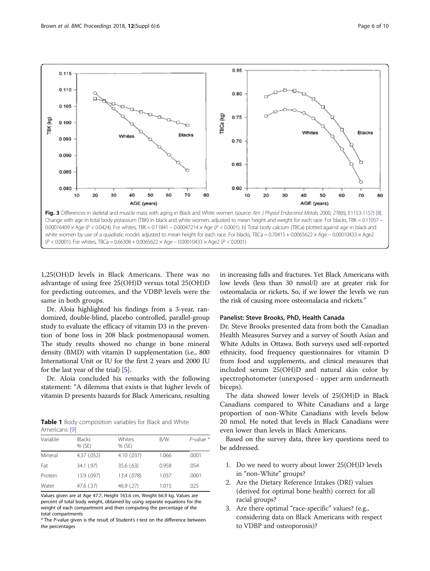<span id="page-5-0"></span>

1,25(OH)D levels in Black Americans. There was no advantage of using free 25(OH)D versus total 25(OH)D for predicting outcomes, and the VDBP levels were the same in both groups.

Dr. Aloia highlighted his findings from a 3-year, randomized, double-blind, placebo controlled, parallel-group study to evaluate the efficacy of vitamin D3 in the prevention of bone loss in 208 black postmenopausal women. The study results showed no change in bone mineral density (BMD) with vitamin D supplementation (i.e., 800 International Unit or IU for the first 2 years and 2000 IU for the last year of the trial) [[5\]](#page-9-0).

Dr. Aloia concluded his remarks with the following statement: "A dilemma that exists is that higher levels of vitamin D presents hazards for Black Americans, resulting

Table 1 Body composition variables for Black and White Americans [\[9](#page-9-0)]

| Variable | <b>Blacks</b><br>% (SE) | Whites<br>% (SE) | B/W   | $P$ -value <sup>a</sup> |
|----------|-------------------------|------------------|-------|-------------------------|
| Mineral  | 4.37 (.052)             | 4.10 (.037)      | 1.066 | .0001                   |
| Fat      | 34.1 (.97)              | 35.6(.63)        | 0.958 | .054                    |
| Protein  | 13.9 (.097)             | 13.4 (.078)      | 1.037 | .0001                   |
| Water    | 47.6 (.37)              | 46.9 (.27)       | 1.015 | .025                    |

Values given are at Age 47.7, Height 163.6 cm, Weight 66.9 kg. Values are percent of total body weight, obtained by using separate equations for the weight of each compartment and then computing the percentage of the total compartments

 $a$ <sup>a</sup> The P-value given is the result of Student's t-test on the difference between the percentages

in increasing falls and fractures. Yet Black Americans with low levels (less than 30 nmol/l) are at greater risk for osteomalacia or rickets. So, if we lower the levels we run the risk of causing more osteomalacia and rickets."

#### Panelist: Steve Brooks, PhD, Health Canada

Dr. Steve Brooks presented data from both the Canadian Health Measures Survey and a survey of South Asian and White Adults in Ottawa. Both surveys used self-reported ethnicity, food frequency questionnaires for vitamin D from food and supplements, and clinical measures that included serum 25(OH)D and natural skin color by spectrophotometer (unexposed - upper arm underneath biceps).

The data showed lower levels of 25(OH)D in Black Canadians compared to White Canadians and a large proportion of non-White Canadians with levels below 20 nmol. He noted that levels in Black Canadians were even lower than levels in Black Americans.

Based on the survey data, three key questions need to be addressed.

- 1. Do we need to worry about lower 25(OH)D levels in "non-White" groups?
- 2. Are the Dietary Reference Intakes (DRI) values (derived for optimal bone health) correct for all racial groups?
- 3. Are there optimal "race-specific" values? (e.g., considering data on Black Americans with respect to VDBP and osteoporosis)?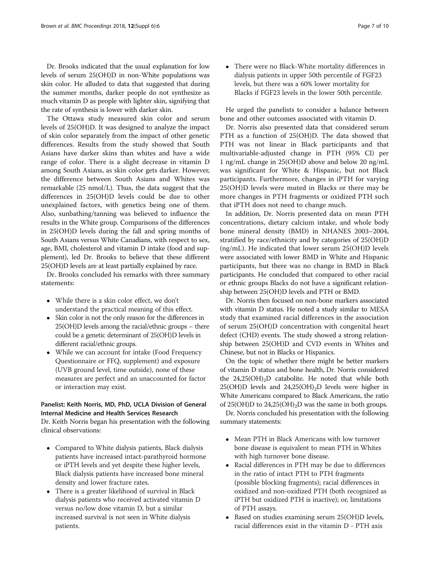Dr. Brooks indicated that the usual explanation for low levels of serum 25(OH)D in non-White populations was skin color. He alluded to data that suggested that during the summer months, darker people do not synthesize as much vitamin D as people with lighter skin, signifying that the rate of synthesis is lower with darker skin.

The Ottawa study measured skin color and serum levels of 25(OH)D. It was designed to analyze the impact of skin color separately from the impact of other genetic differences. Results from the study showed that South Asians have darker skins than whites and have a wide range of color. There is a slight decrease in vitamin D among South Asians, as skin color gets darker. However, the difference between South Asians and Whites was remarkable (25 nmol/L). Thus, the data suggest that the differences in 25(OH)D levels could be due to other unexplained factors, with genetics being one of them. Also, sunbathing/tanning was believed to influence the results in the White group. Comparisons of the differences in 25(OH)D levels during the fall and spring months of South Asians versus White Canadians, with respect to sex, age, BMI, cholesterol and vitamin D intake (food and supplement), led Dr. Brooks to believe that these different 25(OH)D levels are at least partially explained by race.

Dr. Brooks concluded his remarks with three summary statements:

- While there is a skin color effect, we don't understand the practical meaning of this effect.
- Skin color is not the only reason for the differences in 25(OH)D levels among the racial/ethnic groups – there could be a genetic determinant of 25(OH)D levels in different racial/ethnic groups.
- While we can account for intake (Food Frequency Questionnaire or FFQ, supplement) and exposure (UVB ground level, time outside), none of these measures are perfect and an unaccounted for factor or interaction may exist.

# Panelist: Keith Norris, MD, PhD, UCLA Division of General Internal Medicine and Health Services Research

Dr. Keith Norris began his presentation with the following clinical observations:

- Compared to White dialysis patients, Black dialysis patients have increased intact-parathyroid hormone or iPTH levels and yet despite these higher levels, Black dialysis patients have increased bone mineral density and lower fracture rates.
- There is a greater likelihood of survival in Black dialysis patients who received activated vitamin D versus no/low dose vitamin D, but a similar increased survival is not seen in White dialysis patients.

 There were no Black-White mortality differences in dialysis patients in upper 50th percentile of FGF23 levels, but there was a 60% lower mortality for Blacks if FGF23 levels in the lower 50th percentile.

He urged the panelists to consider a balance between bone and other outcomes associated with vitamin D.

Dr. Norris also presented data that considered serum PTH as a function of 25(OH)D. The data showed that PTH was not linear in Black participants and that multivariable-adjusted change in PTH (95% CI) per 1 ng/mL change in 25(OH)D above and below 20 ng/mL was significant for White & Hispanic, but not Black participants. Furthermore, changes in iPTH for varying 25(OH)D levels were muted in Blacks or there may be more changes in PTH fragments or oxidized PTH such that iPTH does not need to change much.

In addition, Dr. Norris presented data on mean PTH concentrations, dietary calcium intake, and whole body bone mineral density (BMD) in NHANES 2003–2004, stratified by race/ethnicity and by categories of 25(OH)D (ng/mL). He indicated that lower serum 25(OH)D levels were associated with lower BMD in White and Hispanic participants, but there was no change in BMD in Black participants. He concluded that compared to other racial or ethnic groups Blacks do not have a significant relationship between 25(OH)D levels and PTH or BMD.

Dr. Norris then focused on non-bone markers associated with vitamin D status. He noted a study similar to MESA study that examined racial differences in the association of serum 25(OH)D concentration with congenital heart defect (CHD) events. The study showed a strong relationship between 25(OH)D and CVD events in Whites and Chinese, but not in Blacks or Hispanics.

On the topic of whether there might be better markers of vitamin D status and bone health, Dr. Norris considered the  $24,25(OH)_{2}D$  catabolite. He noted that while both  $25(OH)D$  levels and  $24,25(OH)2D$  levels were higher in White Americans compared to Black Americans, the ratio of 25(OH)D to 24,25(OH)<sub>2</sub>D was the same in both groups.

Dr. Norris concluded his presentation with the following summary statements:

- Mean PTH in Black Americans with low turnover bone disease is equivalent to mean PTH in Whites with high turnover bone disease.
- Racial differences in PTH may be due to differences in the ratio of intact PTH to PTH fragments (possible blocking fragments); racial differences in oxidized and non-oxidized PTH (both recognized as iPTH but oxidized PTH is inactive); or, limitations of PTH assays.
- Based on studies examining serum 25(OH)D levels, racial differences exist in the vitamin D - PTH axis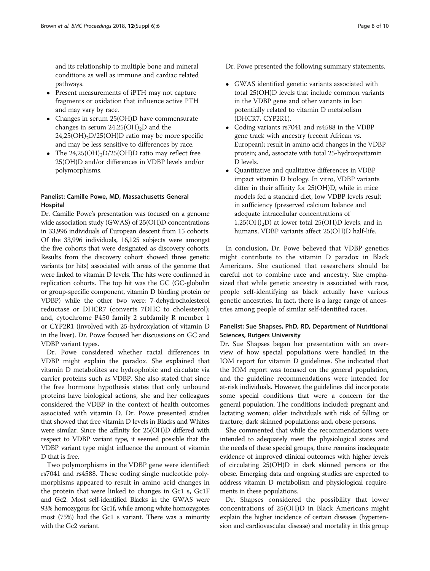and its relationship to multiple bone and mineral conditions as well as immune and cardiac related pathways.

- Present measurements of iPTH may not capture fragments or oxidation that influence active PTH and may vary by race.
- Changes in serum 25(OH)D have commensurate changes in serum  $24,25(OH)_{2}D$  and the  $24,25(OH)_{2}D/25(OH)D$  ratio may be more specific and may be less sensitive to differences by race.
- The  $24,25(OH)_{2}D/25(OH)D$  ratio may reflect free 25(OH)D and/or differences in VDBP levels and/or polymorphisms.

## Panelist: Camille Powe, MD, Massachusetts General Hospital

Dr. Camille Powe's presentation was focused on a genome wide association study (GWAS) of 25(OH)D concentrations in 33,996 individuals of European descent from 15 cohorts. Of the 33,996 individuals, 16,125 subjects were amongst the five cohorts that were designated as discovery cohorts. Results from the discovery cohort showed three genetic variants (or hits) associated with areas of the genome that were linked to vitamin D levels. The hits were confirmed in replication cohorts. The top hit was the GC (GC-globulin or group-specific component, vitamin D binding protein or VDBP) while the other two were: 7-dehydrocholesterol reductase or DHCR7 (converts 7DHC to cholesterol); and, cytochrome P450 family 2 subfamily R member 1 or CYP2R1 (involved with 25-hydroxylation of vitamin D in the liver). Dr. Powe focused her discussions on GC and VDBP variant types.

Dr. Powe considered whether racial differences in VDBP might explain the paradox. She explained that vitamin D metabolites are hydrophobic and circulate via carrier proteins such as VDBP. She also stated that since the free hormone hypothesis states that only unbound proteins have biological actions, she and her colleagues considered the VDBP in the context of health outcomes associated with vitamin D. Dr. Powe presented studies that showed that free vitamin D levels in Blacks and Whites were similar. Since the affinity for 25(OH)D differed with respect to VDBP variant type, it seemed possible that the VDBP variant type might influence the amount of vitamin D that is free.

Two polymorphisms in the VDBP gene were identified: rs7041 and rs4588. These coding single nucleotide polymorphisms appeared to result in amino acid changes in the protein that were linked to changes in Gc1 s, Gc1F and Gc2. Most self-identified Blacks in the GWAS were 93% homozygous for Gc1f, while among white homozygotes most (75%) had the Gc1 s variant. There was a minority with the Gc2 variant.

Dr. Powe presented the following summary statements.

- GWAS identified genetic variants associated with total 25(OH)D levels that include common variants in the VDBP gene and other variants in loci potentially related to vitamin D metabolism (DHCR7, CYP2R1).
- Coding variants rs7041 and rs4588 in the VDBP gene track with ancestry (recent African vs. European); result in amino acid changes in the VDBP protein; and, associate with total 25-hydroxyvitamin D levels.
- Quantitative and qualitative differences in VDBP impact vitamin D biology. In vitro, VDBP variants differ in their affinity for 25(OH)D, while in mice models fed a standard diet, low VDBP levels result in sufficiency (preserved calcium balance and adequate intracellular concentrations of  $1,25(OH)_{2}D$ ) at lower total  $25(OH)D$  levels, and in humans, VDBP variants affect 25(OH)D half-life.

In conclusion, Dr. Powe believed that VDBP genetics might contribute to the vitamin D paradox in Black Americans. She cautioned that researchers should be careful not to combine race and ancestry. She emphasized that while genetic ancestry is associated with race, people self-identifying as black actually have various genetic ancestries. In fact, there is a large range of ancestries among people of similar self-identified races.

## Panelist: Sue Shapses, PhD, RD, Department of Nutritional Sciences, Rutgers University

Dr. Sue Shapses began her presentation with an overview of how special populations were handled in the IOM report for vitamin D guidelines. She indicated that the IOM report was focused on the general population, and the guideline recommendations were intended for at-risk individuals. However, the guidelines did incorporate some special conditions that were a concern for the general population. The conditions included: pregnant and lactating women; older individuals with risk of falling or fracture; dark skinned populations; and, obese persons.

She commented that while the recommendations were intended to adequately meet the physiological states and the needs of these special groups, there remains inadequate evidence of improved clinical outcomes with higher levels of circulating 25(OH)D in dark skinned persons or the obese. Emerging data and ongoing studies are expected to address vitamin D metabolism and physiological requirements in these populations.

Dr. Shapses considered the possibility that lower concentrations of 25(OH)D in Black Americans might explain the higher incidence of certain diseases (hypertension and cardiovascular disease) and mortality in this group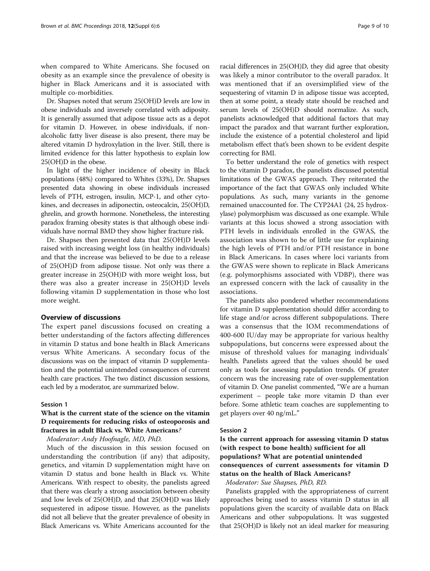when compared to White Americans. She focused on obesity as an example since the prevalence of obesity is higher in Black Americans and it is associated with multiple co-morbidities.

Dr. Shapses noted that serum 25(OH)D levels are low in obese individuals and inversely correlated with adiposity. It is generally assumed that adipose tissue acts as a depot for vitamin D. However, in obese individuals, if nonalcoholic fatty liver disease is also present, there may be altered vitamin D hydroxylation in the liver. Still, there is limited evidence for this latter hypothesis to explain low 25(OH)D in the obese.

In light of the higher incidence of obesity in Black populations (48%) compared to Whites (33%), Dr. Shapses presented data showing in obese individuals increased levels of PTH, estrogen, insulin, MCP-1, and other cytokines, and decreases in adiponectin, osteocalcin, 25(OH)D, ghrelin, and growth hormone. Nonetheless, the interesting paradox framing obesity states is that although obese individuals have normal BMD they show higher fracture risk.

Dr. Shapses then presented data that 25(OH)D levels raised with increasing weight loss (in healthy individuals) and that the increase was believed to be due to a release of 25(OH)D from adipose tissue. Not only was there a greater increase in 25(OH)D with more weight loss, but there was also a greater increase in 25(OH)D levels following vitamin D supplementation in those who lost more weight.

#### Overview of discussions

The expert panel discussions focused on creating a better understanding of the factors affecting differences in vitamin D status and bone health in Black Americans versus White Americans. A secondary focus of the discussions was on the impact of vitamin D supplementation and the potential unintended consequences of current health care practices. The two distinct discussion sessions, each led by a moderator, are summarized below.

### Session 1

# What is the current state of the science on the vitamin D requirements for reducing risks of osteoporosis and fractures in adult Black vs. White Americans?

Moderator: Andy Hoofnagle, MD, PhD.

Much of the discussion in this session focused on understanding the contribution (if any) that adiposity, genetics, and vitamin D supplementation might have on vitamin D status and bone health in Black vs. White Americans. With respect to obesity, the panelists agreed that there was clearly a strong association between obesity and low levels of 25(OH)D, and that 25(OH)D was likely sequestered in adipose tissue. However, as the panelists did not all believe that the greater prevalence of obesity in Black Americans vs. White Americans accounted for the

racial differences in 25(OH)D, they did agree that obesity was likely a minor contributor to the overall paradox. It was mentioned that if an oversimplified view of the sequestering of vitamin D in adipose tissue was accepted, then at some point, a steady state should be reached and serum levels of 25(OH)D should normalize. As such, panelists acknowledged that additional factors that may impact the paradox and that warrant further exploration, include the existence of a potential cholesterol and lipid metabolism effect that's been shown to be evident despite correcting for BMI.

To better understand the role of genetics with respect to the vitamin D paradox, the panelists discussed potential limitations of the GWAS approach. They reiterated the importance of the fact that GWAS only included White populations. As such, many variants in the genome remained unaccounted for. The CYP24A1 (24, 25 hydroxylase) polymorphism was discussed as one example. While variants at this locus showed a strong association with PTH levels in individuals enrolled in the GWAS, the association was shown to be of little use for explaining the high levels of PTH and/or PTH resistance in bone in Black Americans. In cases where loci variants from the GWAS were shown to replicate in Black Americans (e.g. polymorphisms associated with VDBP), there was an expressed concern with the lack of causality in the associations.

The panelists also pondered whether recommendations for vitamin D supplementation should differ according to life stage and/or across different subpopulations. There was a consensus that the IOM recommendations of 400-600 IU/day may be appropriate for various healthy subpopulations, but concerns were expressed about the misuse of threshold values for managing individuals' health. Panelists agreed that the values should be used only as tools for assessing population trends. Of greater concern was the increasing rate of over-supplementation of vitamin D. One panelist commented, "We are a human experiment – people take more vitamin D than ever before. Some athletic team coaches are supplementing to get players over 40 ng/mL."

## Session 2

Is the current approach for assessing vitamin D status (with respect to bone health) sufficient for all populations? What are potential unintended consequences of current assessments for vitamin D status on the health of Black Americans?

Moderator: Sue Shapses, PhD, RD.

Panelists grappled with the appropriateness of current approaches being used to assess vitamin D status in all populations given the scarcity of available data on Black Americans and other subpopulations. It was suggested that 25(OH)D is likely not an ideal marker for measuring